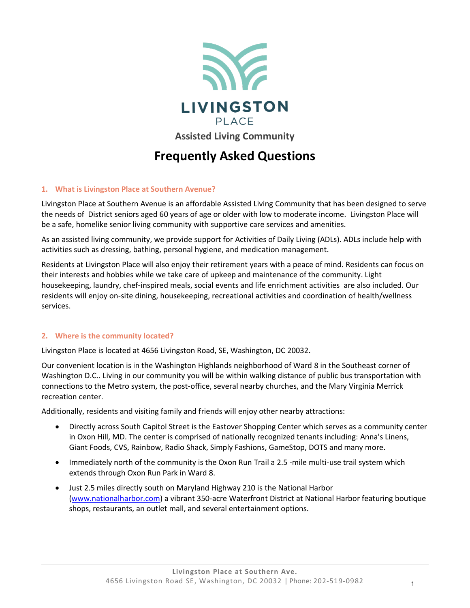

# **1. What is Livingston Place at Southern Avenue?**

Livingston Place at Southern Avenue is an affordable Assisted Living Community that has been designed to serve the needs of District seniors aged 60 years of age or older with low to moderate income. Livingston Place will be a safe, homelike senior living community with supportive care services and amenities.

As an assisted living community, we provide support for Activities of Daily Living (ADLs). ADLs include help with activities such as dressing, bathing, personal hygiene, and medication management.

Residents at Livingston Place will also enjoy their retirement years with a peace of mind. Residents can focus on their interests and hobbies while we take care of upkeep and maintenance of the community. Light housekeeping, laundry, chef-inspired meals, social events and life enrichment activities are also included. Our residents will enjoy on-site dining, housekeeping, recreational activities and coordination of health/wellness services.

## **2. Where is the community located?**

Livingston Place is located at 4656 Livingston Road, SE, Washington, DC 20032.

Our convenient location is in the Washington Highlands neighborhood of Ward 8 in the Southeast corner of Washington D.C.. Living in our community you will be within walking distance of public bus transportation with connections to the Metro system, the post-office, several nearby churches, and the Mary Virginia Merrick recreation center.

Additionally, residents and visiting family and friends will enjoy other nearby attractions:

- Directly across South Capitol Street is the Eastover Shopping Center which serves as a community center in Oxon Hill, MD. The center is comprised of nationally recognized tenants including: Anna's Linens, Giant Foods, CVS, Rainbow, Radio Shack, Simply Fashions, GameStop, DOTS and many more.
- Immediately north of the community is the Oxon Run Trail a 2.5 -mile multi-use trail system which extends through Oxon Run Park in Ward 8.
- Just 2.5 miles directly south on Maryland Highway 210 is the National Harbor [\(www.nationalharbor.com\)](http://www.nationalharbor.com/) a vibrant 350-acre Waterfront District at National Harbor featuring boutique shops, restaurants, an outlet mall, and several entertainment options.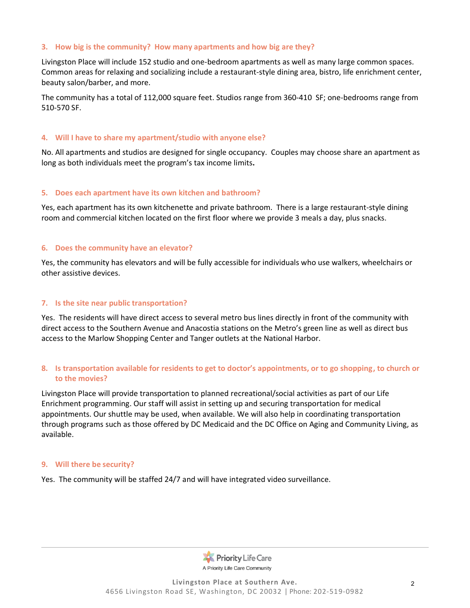## **3. How big is the community? How many apartments and how big are they?**

Livingston Place will include 152 studio and one-bedroom apartments as well as many large common spaces. Common areas for relaxing and socializing include a restaurant-style dining area, bistro, life enrichment center, beauty salon/barber, and more.

The community has a total of 112,000 square feet. Studios range from 360-410 SF; one-bedrooms range from 510-570 SF.

### **4. Will I have to share my apartment/studio with anyone else?**

No. All apartments and studios are designed for single occupancy. Couples may choose share an apartment as long as both individuals meet the program's tax income limits**.** 

### **5. Does each apartment have its own kitchen and bathroom?**

Yes, each apartment has its own kitchenette and private bathroom. There is a large restaurant-style dining room and commercial kitchen located on the first floor where we provide 3 meals a day, plus snacks.

### **6. Does the community have an elevator?**

Yes, the community has elevators and will be fully accessible for individuals who use walkers, wheelchairs or other assistive devices.

#### **7. Is the site near public transportation?**

Yes. The residents will have direct access to several metro bus lines directly in front of the community with direct access to the Southern Avenue and Anacostia stations on the Metro's green line as well as direct bus access to the Marlow Shopping Center and Tanger outlets at the National Harbor.

## **8. Is transportation available for residents to get to doctor's appointments, or to go shopping, to church or to the movies?**

Livingston Place will provide transportation to planned recreational/social activities as part of our Life Enrichment programming. Our staff will assist in setting up and securing transportation for medical appointments. Our shuttle may be used, when available. We will also help in coordinating transportation through programs such as those offered by DC Medicaid and the DC Office on Aging and Community Living, as available.

#### **9. Will there be security?**

Yes. The community will be staffed 24/7 and will have integrated video surveillance.

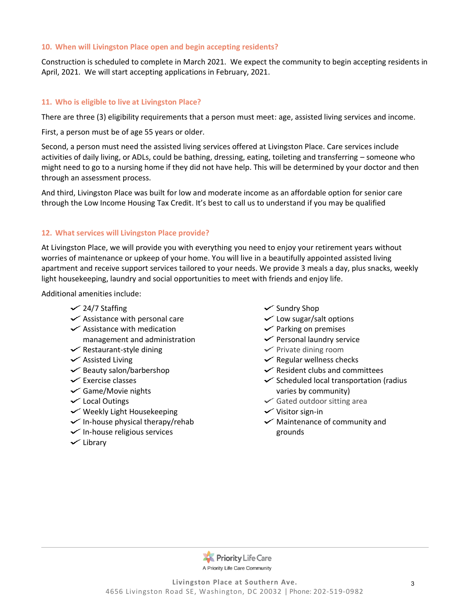## **10. When will Livingston Place open and begin accepting residents?**

Construction is scheduled to complete in March 2021. We expect the community to begin accepting residents in April, 2021. We will start accepting applications in February, 2021.

## **11. Who is eligible to live at Livingston Place?**

There are three (3) eligibility requirements that a person must meet: age, assisted living services and income.

First, a person must be of age 55 years or older.

Second, a person must need the assisted living services offered at Livingston Place. Care services include activities of daily living, or ADLs, could be bathing, dressing, eating, toileting and transferring – someone who might need to go to a nursing home if they did not have help. This will be determined by your doctor and then through an assessment process.

And third, Livingston Place was built for low and moderate income as an affordable option for senior care through the Low Income Housing Tax Credit. It's best to call us to understand if you may be qualified

## **12. What services will Livingston Place provide?**

At Livingston Place, we will provide you with everything you need to enjoy your retirement years without worries of maintenance or upkeep of your home. You will live in a beautifully appointed assisted living apartment and receive support services tailored to your needs. We provide 3 meals a day, plus snacks, weekly light housekeeping, laundry and social opportunities to meet with friends and enjoy life.

Additional amenities include:

- $\sim$  24/7 Staffing
- $\checkmark$  Assistance with personal care
- $\checkmark$  Assistance with medication management and administration
- $\checkmark$  Restaurant-style dining
- $\checkmark$  Assisted Living
- $\checkmark$  Beauty salon/barbershop
- $\checkmark$  Exercise classes
- $\checkmark$  Game/Movie nights
- Local Outings
- Weekly Light Housekeeping
- $\checkmark$  In-house physical therapy/rehab
- $\checkmark$  In-house religious services
- Library
- $\checkmark$  Sundry Shop
- $\checkmark$  Low sugar/salt options
- $\checkmark$  Parking on premises
- $\checkmark$  Personal laundry service
- $\checkmark$  Private dining room
- $\checkmark$  Regular wellness checks
- $\checkmark$  Resident clubs and committees
- $\checkmark$  Scheduled local transportation (radius varies by community)
- Gated outdoor sitting area
- $\checkmark$  Visitor sign-in
- $\checkmark$  Maintenance of community and grounds